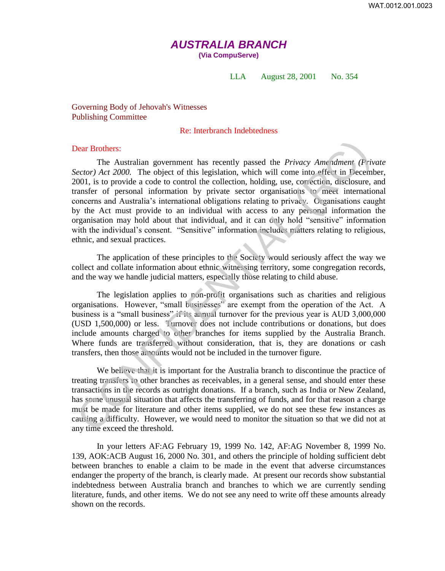# *AUSTRALIA BRANCH*

**(Via CompuServe)** 

### LLA August 28, 2001 No. 354

Governing Body of Jehovah's Witnesses Publishing Committee

# Re: Interbranch Indebtedness

#### Dear Brothers:

The Australian government has recently passed the *Privacy Amendment (Private Sector) Act 2000.* The object of this legislation, which will come into effect in December, 2001, is to provide a code to control the collection, holding, use, correction, disclosure, and transfer of personal information by private sector organisations to meet international concerns and Australia's international obligations relating to privacy. Organisations caught by the Act must provide to an individual with access to any personal information the organisation may hold about that individual, and it can only hold "sensitive" information with the individual's consent. "Sensitive" information includes matters relating to religious, ethnic, and sexual practices. **Dear Brothers:**<br>The Australian government has recently passed the *Privacy Amnulment (Privacy corection)* Act 2000. The object of this legislation, which will come into effect in Decembent (2000, 15 to provide a code to c

The application of these principles to the Society would seriously affect the way we collect and collate information about ethnic witnessing territory, some congregation records, and the way we handle judicial matters, especially those relating to child abuse.

The legislation applies to non-profit organisations such as charities and religious organisations. However, "small businesses" are exempt from the operation of the Act. A business is a "small business" if its annual turnover for the previous year is AUD 3,000,000 (USD 1,500,000) or less. Turnover does not include contributions or donations, but does include amounts charged to other branches for items supplied by the Australia Branch. Where funds are transferred without consideration, that is, they are donations or cash transfers, then those amounts would not be included in the turnover figure.

We believe that it is important for the Australia branch to discontinue the practice of treating transfers to other branches as receivables, in a general sense, and should enter these transactions in the records as outright donations. If a branch, such as India or New Zealand, has some unusual situation that affects the transferring of funds, and for that reason a charge must be made for literature and other items supplied, we do not see these few instances as causing a difficulty. However, we would need to monitor the situation so that we did not at any time exceed the threshold.

In your letters AF:AG February 19, 1999 No. 142, AF:AG November 8, 1999 No. 139, AOK:ACB August 16, 2000 No. 301, and others the principle of holding sufficient debt between branches to enable a claim to be made in the event that adverse circumstances endanger the property of the branch, is clearly made. At present our records show substantial indebtedness between Australia branch and branches to which we are currently sending literature, funds, and other items. We do not see any need to write off these amounts already shown on the records.